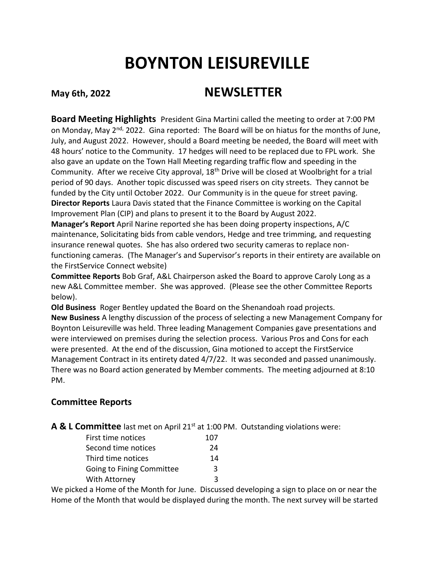## **BOYNTON LEISUREVILLE**

## **May 6th, 2022 NEWSLETTER**

**Board Meeting Highlights** President Gina Martini called the meeting to order at 7:00 PM on Monday, May 2<sup>nd,</sup> 2022. Gina reported: The Board will be on hiatus for the months of June, July, and August 2022. However, should a Board meeting be needed, the Board will meet with 48 hours' notice to the Community. 17 hedges will need to be replaced due to FPL work. She also gave an update on the Town Hall Meeting regarding traffic flow and speeding in the Community. After we receive City approval, 18<sup>th</sup> Drive will be closed at Woolbright for a trial period of 90 days. Another topic discussed was speed risers on city streets. They cannot be funded by the City until October 2022. Our Community is in the queue for street paving. **Director Reports** Laura Davis stated that the Finance Committee is working on the Capital Improvement Plan (CIP) and plans to present it to the Board by August 2022.

**Manager's Report** April Narine reported she has been doing property inspections, A/C maintenance, Solicitating bids from cable vendors, Hedge and tree trimming, and requesting insurance renewal quotes. She has also ordered two security cameras to replace nonfunctioning cameras. (The Manager's and Supervisor's reports in their entirety are available on the FirstService Connect website)

**Committee Reports** Bob Graf, A&L Chairperson asked the Board to approve Caroly Long as a new A&L Committee member. She was approved. (Please see the other Committee Reports below).

**Old Business** Roger Bentley updated the Board on the Shenandoah road projects. **New Business** A lengthy discussion of the process of selecting a new Management Company for Boynton Leisureville was held. Three leading Management Companies gave presentations and were interviewed on premises during the selection process. Various Pros and Cons for each were presented. At the end of the discussion, Gina motioned to accept the FirstService Management Contract in its entirety dated 4/7/22. It was seconded and passed unanimously. There was no Board action generated by Member comments. The meeting adjourned at 8:10 PM.

## **Committee Reports**

A & L Committee last met on April 21<sup>st</sup> at 1:00 PM. Outstanding violations were:

| First time notices               | 107 |
|----------------------------------|-----|
| Second time notices              | 24  |
| Third time notices               | 14  |
| <b>Going to Fining Committee</b> | ₹   |
| With Attorney                    |     |

We picked a Home of the Month for June. Discussed developing a sign to place on or near the Home of the Month that would be displayed during the month. The next survey will be started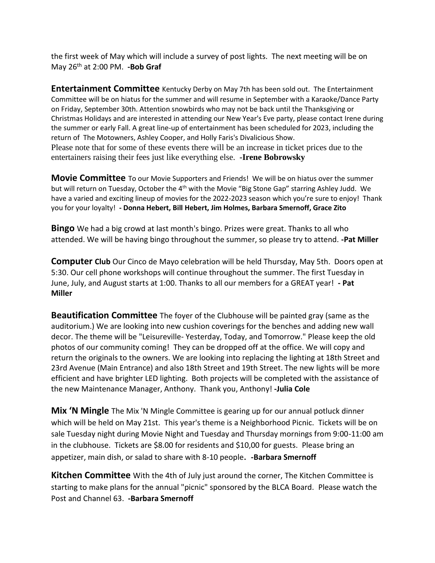the first week of May which will include a survey of post lights. The next meeting will be on May 26th at 2:00 PM. **-Bob Graf**

**Entertainment Committee** Kentucky Derby on May 7th has been sold out. The Entertainment Committee will be on hiatus for the summer and will resume in September with a Karaoke/Dance Party on Friday, September 30th. Attention snowbirds who may not be back until the Thanksgiving or Christmas Holidays and are interested in attending our New Year's Eve party, please contact Irene during the summer or early Fall. A great line-up of entertainment has been scheduled for 2023, including the return of The Motowners, Ashley Cooper, and Holly Faris's Divalicious Show. Please note that for some of these events there will be an increase in ticket prices due to the entertainers raising their fees just like everything else. **-Irene Bobrowsky**

**Movie Committee** To our Movie Supporters and Friends! We will be on hiatus over the summer but will return on Tuesday, October the 4<sup>th</sup> with the Movie "Big Stone Gap" starring Ashley Judd. We have a varied and exciting lineup of movies for the 2022-2023 season which you're sure to enjoy! Thank you for your loyalty! **- Donna Hebert, Bill Hebert, Jim Holmes, Barbara Smernoff, Grace Zito**

**Bingo** We had a big crowd at last month's bingo. Prizes were great. Thanks to all who attended. We will be having bingo throughout the summer, so please try to attend. **-Pat Miller**

**Computer Club** Our Cinco de Mayo celebration will be held Thursday, May 5th. Doors open at 5:30. Our cell phone workshops will continue throughout the summer. The first Tuesday in June, July, and August starts at 1:00. Thanks to all our members for a GREAT year! **- Pat Miller**

**Beautification Committee** The foyer of the Clubhouse will be painted gray (same as the auditorium.) We are looking into new cushion coverings for the benches and adding new wall decor. The theme will be "Leisureville- Yesterday, Today, and Tomorrow." Please keep the old photos of our community coming! They can be dropped off at the office. We will copy and return the originals to the owners. We are looking into replacing the lighting at 18th Street and 23rd Avenue (Main Entrance) and also 18th Street and 19th Street. The new lights will be more efficient and have brighter LED lighting. Both projects will be completed with the assistance of the new Maintenance Manager, Anthony. Thank you, Anthony! **-Julia Cole**

**Mix 'N Mingle** The Mix 'N Mingle Committee is gearing up for our annual potluck dinner which will be held on May 21st. This year's theme is a Neighborhood Picnic. Tickets will be on sale Tuesday night during Movie Night and Tuesday and Thursday mornings from 9:00-11:00 am in the clubhouse. Tickets are \$8.00 for residents and \$10,00 for guests. Please bring an appetizer, main dish, or salad to share with 8-10 people. **-Barbara Smernoff**

**Kitchen Committee** With the 4th of July just around the corner, The Kitchen Committee is starting to make plans for the annual "picnic" sponsored by the BLCA Board. Please watch the Post and Channel 63. **-Barbara Smernoff**